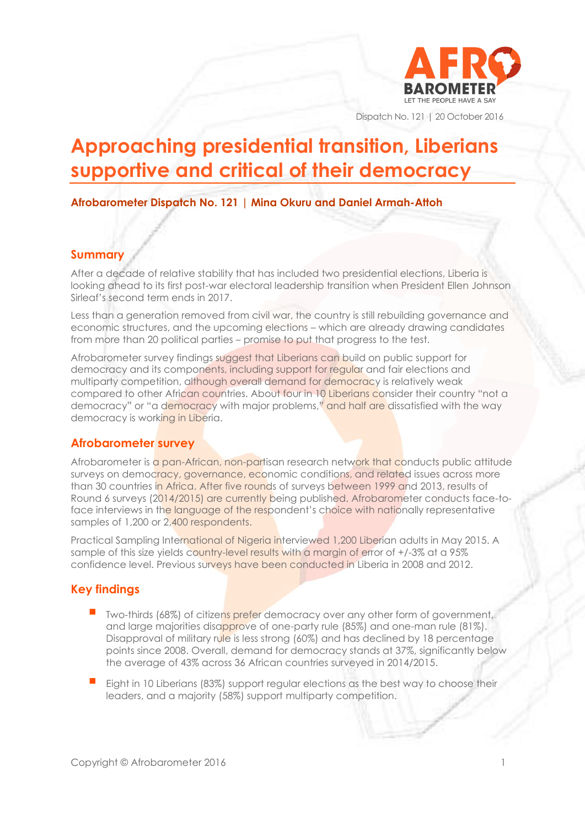

Dispatch No. 121 | 20 October 2016

# **Approaching presidential transition, Liberians supportive and critical of their democracy**

**Afrobarometer Dispatch No. 121 | Mina Okuru and Daniel Armah-Attoh**

# **Summary**

After a decade of relative stability that has included two presidential elections, Liberia is looking ahead to its first post-war electoral leadership transition when President Ellen Johnson Sirleaf's second term ends in 2017.

Less than a generation removed from civil war, the country is still rebuilding governance and economic structures, and the upcoming elections – which are already drawing candidates from more than 20 political parties – promise to put that progress to the test.

Afrobarometer survey findings suggest that Liberians can build on public support for democracy and its components, including support for regular and fair elections and multiparty competition, although overall demand for democracy is relatively weak compared to other African countries. About four in 10 Liberians consider their country "not a democracy" or "a democracy with major problems," and half are dissatisfied with the way democracy is working in Liberia.

# **Afrobarometer survey**

Afrobarometer is a pan-African, non-partisan research network that conducts public attitude surveys on democracy, governance, economic conditions, and related issues across more than 30 countries in Africa. After five rounds of surveys between 1999 and 2013, results of Round 6 surveys (2014/2015) are currently being published. Afrobarometer conducts face-toface interviews in the language of the respondent's choice with nationally representative samples of 1,200 or 2,400 respondents.

Practical Sampling International of Nigeria interviewed 1,200 Liberian adults in May 2015. A sample of this size yields country-level results with a margin of error of +/-3% at a 95% confidence level. Previous surveys have been conducted in Liberia in 2008 and 2012.

# **Key findings**

- Two-thirds (68%) of citizens prefer democracy over any other form of government, and large majorities disapprove of one-party rule (85%) and one-man rule (81%). Disapproval of military rule is less strong (60%) and has declined by 18 percentage points since 2008. Overall, demand for democracy stands at 37%, significantly below the average of 43% across 36 African countries surveyed in 2014/2015.
- Eight in 10 Liberians (83%) support regular elections as the best way to choose their leaders, and a majority (58%) support multiparty competition.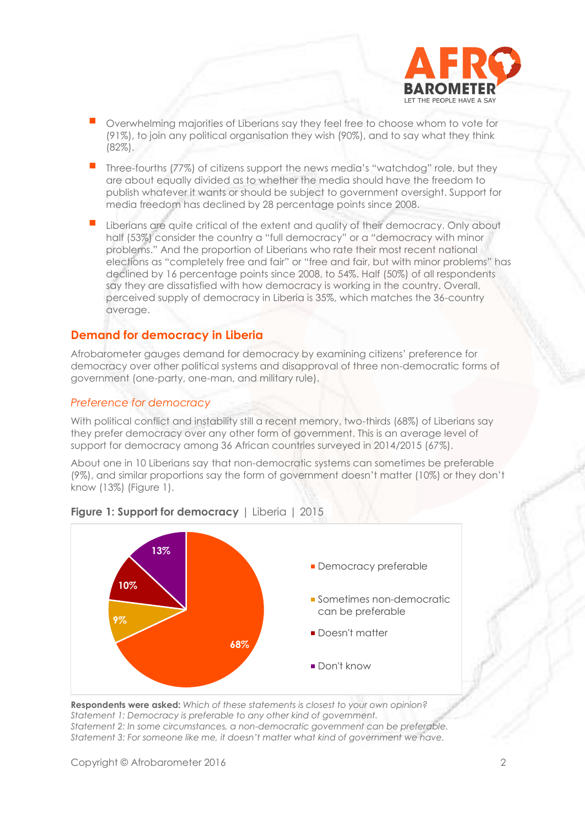

- Overwhelming majorities of Liberians say they feel free to choose whom to vote for (91%), to join any political organisation they wish (90%), and to say what they think (82%).
- Three-fourths (77%) of citizens support the news media's "watchdog" role, but they are about equally divided as to whether the media should have the freedom to publish whatever it wants or should be subject to government oversight. Support for media freedom has declined by 28 percentage points since 2008.
- Liberians are quite critical of the extent and quality of their democracy. Only about half (53%) consider the country a "full democracy" or a "democracy with minor problems." And the proportion of Liberians who rate their most recent national elections as "completely free and fair" or "free and fair, but with minor problems" has declined by 16 percentage points since 2008, to 54%. Half (50%) of all respondents say they are dissatisfied with how democracy is working in the country. Overall, perceived supply of democracy in Liberia is 35%, which matches the 36-country average.

#### **Demand for democracy in Liberia**

Afrobarometer gauges demand for democracy by examining citizens' preference for democracy over other political systems and disapproval of three non-democratic forms of government (one-party, one-man, and military rule).

#### *Preference for democracy*

With political conflict and instability still a recent memory, two-thirds (68%) of Liberians say they prefer democracy over any other form of government. This is an average level of support for democracy among 36 African countries surveyed in 2014/2015 (67%).

About one in 10 Liberians say that non-democratic systems can sometimes be preferable (9%), and similar proportions say the form of government doesn't matter (10%) or they don't know (13%) (Figure 1).



**Figure 1: Support for democracy** | Liberia | 2015

**Respondents were asked:** *Which of these statements is closest to your own opinion? Statement 1: Democracy is preferable to any other kind of government. Statement 2: In some circumstances, a non-democratic government can be preferable. Statement 3: For someone like me, it doesn't matter what kind of government we have.*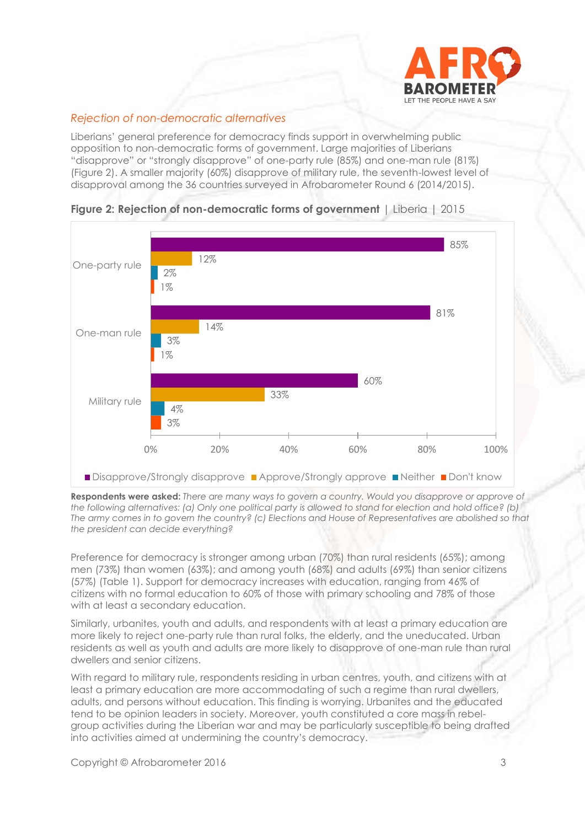

# *Rejection of non-democratic alternatives*

Liberians' general preference for democracy finds support in overwhelming public opposition to non-democratic forms of government. Large majorities of Liberians "disapprove" or "strongly disapprove" of one-party rule (85%) and one-man rule (81%) (Figure 2). A smaller majority (60%) disapprove of military rule, the seventh-lowest level of disapproval among the 36 countries surveyed in Afrobarometer Round 6 (2014/2015).





**Respondents were asked:** *There are many ways to govern a country. Would you disapprove or approve of the following alternatives: (a) Only one political party is allowed to stand for election and hold office? (b) The army comes in to govern the country? (c) Elections and House of Representatives are abolished so that the president can decide everything?*

Preference for democracy is stronger among urban (70%) than rural residents (65%); among men (73%) than women (63%); and among youth (68%) and adults (69%) than senior citizens (57%) (Table 1). Support for democracy increases with education, ranging from 46% of citizens with no formal education to 60% of those with primary schooling and 78% of those with at least a secondary education.

Similarly, urbanites, youth and adults, and respondents with at least a primary education are more likely to reject one-party rule than rural folks, the elderly, and the uneducated. Urban residents as well as youth and adults are more likely to disapprove of one-man rule than rural dwellers and senior citizens.

With regard to military rule, respondents residing in urban centres, youth, and citizens with at least a primary education are more accommodating of such a regime than rural dwellers, adults, and persons without education. This finding is worrying. Urbanites and the educated tend to be opinion leaders in society. Moreover, youth constituted a core mass in rebelgroup activities during the Liberian war and may be particularly susceptible to being drafted into activities aimed at undermining the country's democracy.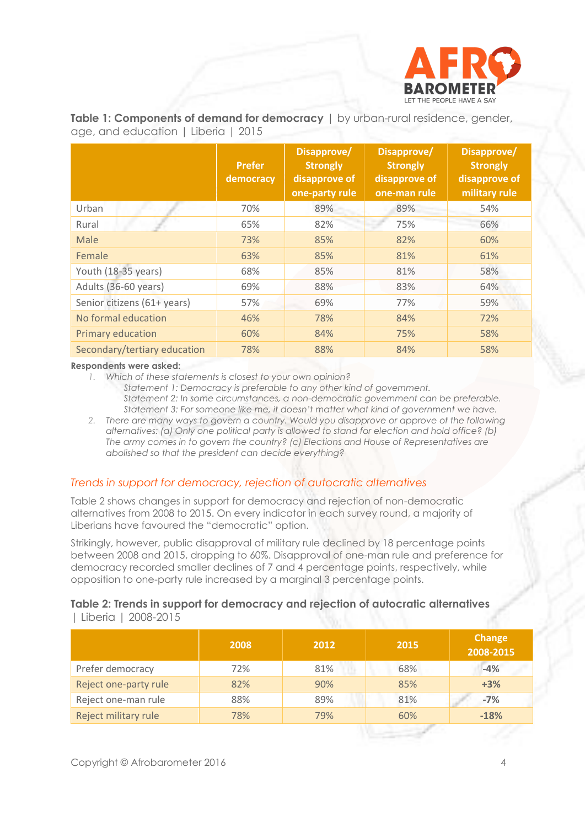

**Table 1: Components of demand for democracy** | by urban-rural residence, gender, age, and education | Liberia | 2015

|                              | <b>Prefer</b><br>democracy | Disapprove/<br><b>Strongly</b><br>disapprove of<br>one-party rule | Disapprove/<br><b>Strongly</b><br>disapprove of<br>one-man rule | Disapprove/<br><b>Strongly</b><br>disapprove of<br>military rule |
|------------------------------|----------------------------|-------------------------------------------------------------------|-----------------------------------------------------------------|------------------------------------------------------------------|
| Urban                        | 70%                        | 89%                                                               | 89%                                                             | 54%                                                              |
| Rural                        | 65%                        | 82%                                                               | 75%                                                             | 66%                                                              |
| Male                         | 73%                        | 85%                                                               | 82%                                                             | 60%                                                              |
| Female                       | 63%                        | 85%                                                               | 81%                                                             | 61%                                                              |
| Youth (18-35 years)          | 68%                        | 85%                                                               | 81%                                                             | 58%                                                              |
| Adults (36-60 years)         | 69%                        | 88%                                                               | 83%                                                             | 64%                                                              |
| Senior citizens (61+ years)  | 57%                        | 69%                                                               | 77%                                                             | 59%                                                              |
| No formal education          | 46%                        | 78%                                                               | 84%                                                             | 72%                                                              |
| Primary education            | 60%                        | 84%                                                               | 75%                                                             | 58%                                                              |
| Secondary/tertiary education | 78%                        | 88%                                                               | 84%                                                             | 58%                                                              |

**Respondents were asked:**

- *1. Which of these statements is closest to your own opinion?*
	- *Statement 1: Democracy is preferable to any other kind of government. Statement 2: In some circumstances, a non-democratic government can be preferable. Statement 3: For someone like me, it doesn't matter what kind of government we have.*
- *2. There are many ways to govern a country. Would you disapprove or approve of the following alternatives: (a) Only one political party is allowed to stand for election and hold office? (b) The army comes in to govern the country? (c) Elections and House of Representatives are abolished so that the president can decide everything?*

# *Trends in support for democracy, rejection of autocratic alternatives*

Table 2 shows changes in support for democracy and rejection of non-democratic alternatives from 2008 to 2015. On every indicator in each survey round, a majority of Liberians have favoured the "democratic" option.

Strikingly, however, public disapproval of military rule declined by 18 percentage points between 2008 and 2015, dropping to 60%. Disapproval of one-man rule and preference for democracy recorded smaller declines of 7 and 4 percentage points, respectively, while opposition to one-party rule increased by a marginal 3 percentage points.

#### **Table 2: Trends in support for democracy and rejection of autocratic alternatives**  | Liberia | 2008-2015

|                       | 2008 | 2012 | 2015 | <b>Change</b><br>2008-2015 |
|-----------------------|------|------|------|----------------------------|
| Prefer democracy      | 72%  | 81%  | 68%  | $-4%$                      |
| Reject one-party rule | 82%  | 90%  | 85%  | $+3%$                      |
| Reject one-man rule   | 88%  | 89%  | 81%  | $-7%$                      |
| Reject military rule  | 78%  | 79%  | 60%  | $-18%$                     |
|                       |      |      |      |                            |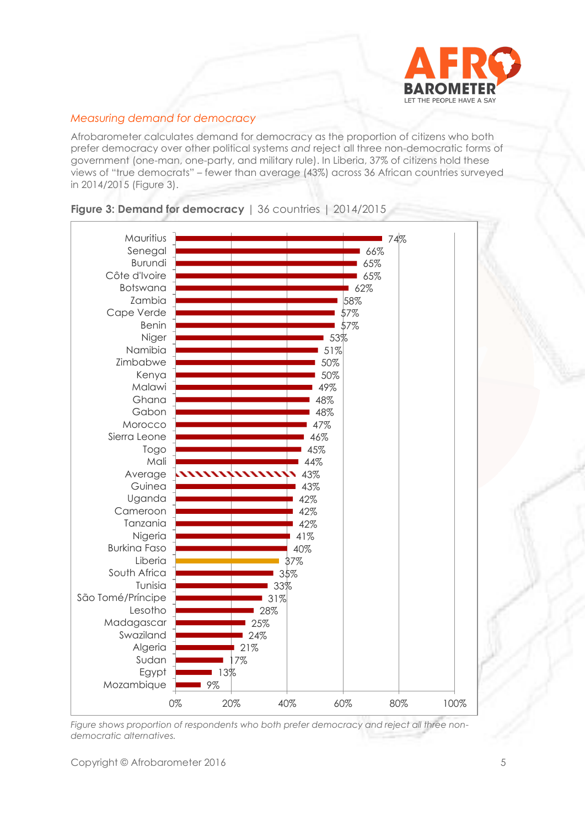

# *Measuring demand for democracy*

Afrobarometer calculates demand for democracy as the proportion of citizens who both prefer democracy over other political systems *and* reject all three non-democratic forms of government (one-man, one-party, and military rule). In Liberia, 37% of citizens hold these views of "true democrats" – fewer than average (43%) across 36 African countries surveyed in 2014/2015 (Figure 3).



#### **Figure 3: Demand for democracy** | 36 countries | 2014/2015

*Figure shows proportion of respondents who both prefer democracy and reject all three nondemocratic alternatives.*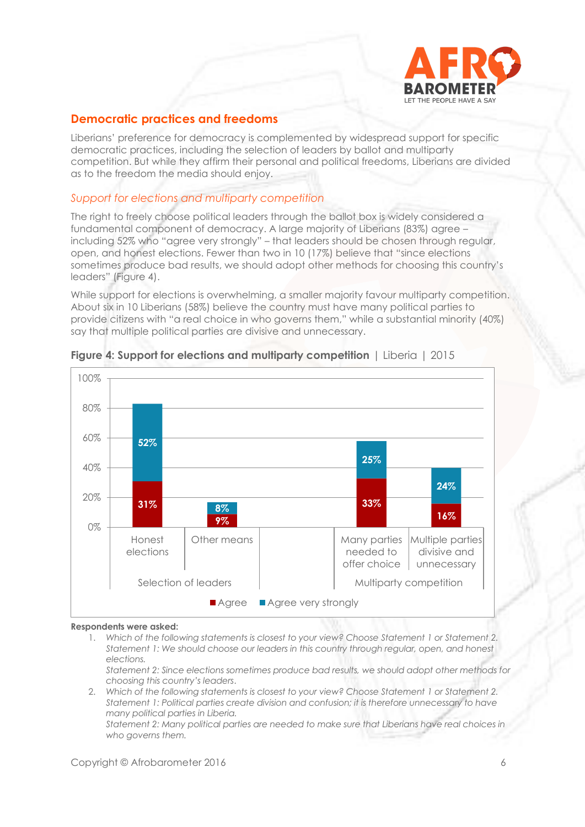

# **Democratic practices and freedoms**

Liberians' preference for democracy is complemented by widespread support for specific democratic practices, including the selection of leaders by ballot and multiparty competition. But while they affirm their personal and political freedoms, Liberians are divided as to the freedom the media should enjoy.

#### *Support for elections and multiparty competition*

The right to freely choose political leaders through the ballot box is widely considered a fundamental component of democracy. A large majority of Liberians (83%) agree – including 52% who "agree very strongly" – that leaders should be chosen through regular, open, and honest elections. Fewer than two in 10 (17%) believe that "since elections sometimes produce bad results, we should adopt other methods for choosing this country's leaders" (Figure 4).

While support for elections is overwhelming, a smaller majority favour multiparty competition. About six in 10 Liberians (58%) believe the country must have many political parties to provide citizens with "a real choice in who governs them," while a substantial minority (40%) say that multiple political parties are divisive and unnecessary.



#### **Figure 4: Support for elections and multiparty competition** | Liberia | 2015

#### **Respondents were asked:**

- 1. *Which of the following statements is closest to your view? Choose Statement 1 or Statement 2. Statement 1: We should choose our leaders in this country through regular, open, and honest elections.*
- *Statement 2: Since elections sometimes produce bad results, we should adopt other methods for choosing this country's leaders*.
- 2. *Which of the following statements is closest to your view? Choose Statement 1 or Statement 2. Statement 1: Political parties create division and confusion; it is therefore unnecessary to have many political parties in Liberia.*

*Statement 2: Many political parties are needed to make sure that Liberians have real choices in who governs them.*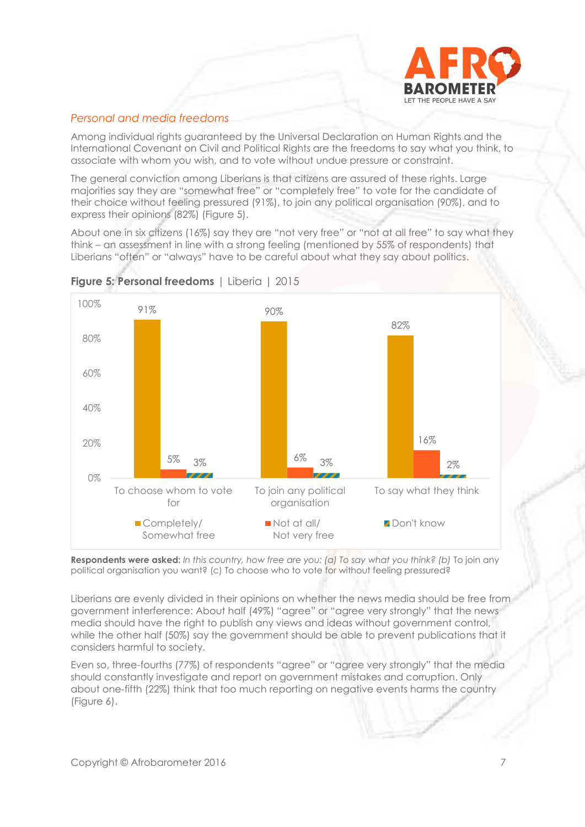

# *Personal and media freedoms*

Among individual rights guaranteed by the Universal Declaration on Human Rights and the International Covenant on Civil and Political Rights are the freedoms to say what you think, to associate with whom you wish, and to vote without undue pressure or constraint.

The general conviction among Liberians is that citizens are assured of these rights. Large majorities say they are "somewhat free" or "completely free" to vote for the candidate of their choice without feeling pressured (91%), to join any political organisation (90%), and to express their opinions (82%) (Figure 5).

About one in six citizens (16%) say they are "not very free" or "not at all free" to say what they think – an assessment in line with a strong feeling (mentioned by 55% of respondents) that Liberians "often" or "always" have to be careful about what they say about politics.



**Figure 5: Personal freedoms** | Liberia | 2015

**Respondents were asked:** *In this country, how free are you: (a) To say what you think? (b)* To join any political organisation you want? (c) To choose who to vote for without feeling pressured?

Liberians are evenly divided in their opinions on whether the news media should be free from government interference: About half (49%) "agree" or "agree very strongly" that the news media should have the right to publish any views and ideas without government control, while the other half (50%) say the government should be able to prevent publications that it considers harmful to society.

Even so, three-fourths (77%) of respondents "agree" or "agree very strongly" that the media should constantly investigate and report on government mistakes and corruption. Only about one-fifth (22%) think that too much reporting on negative events harms the country (Figure 6).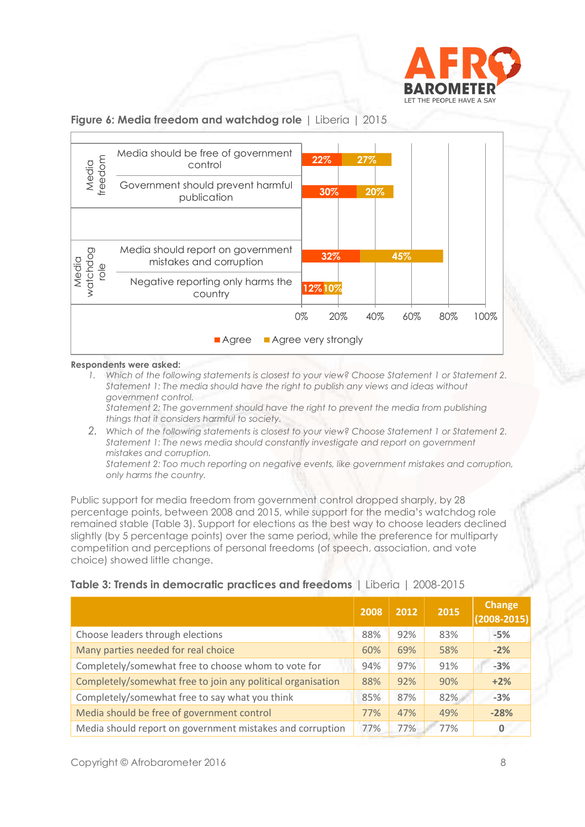

#### **Figure 6: Media freedom and watchdog role** | Liberia | 2015



#### **Respondents were asked:**

*1. Which of the following statements is closest to your view? Choose Statement 1 or Statement 2. Statement 1: The media should have the right to publish any views and ideas without government control.* 

*Statement 2: The government should have the right to prevent the media from publishing things that it considers harmful to society.*

*2. Which of the following statements is closest to your view? Choose Statement 1 or Statement 2. Statement 1: The news media should constantly investigate and report on government mistakes and corruption.*

*Statement 2: Too much reporting on negative events, like government mistakes and corruption, only harms the country.* 

Public support for media freedom from government control dropped sharply, by 28 percentage points, between 2008 and 2015, while support for the media's watchdog role remained stable (Table 3). Support for elections as the best way to choose leaders declined slightly (by 5 percentage points) over the same period, while the preference for multiparty competition and perceptions of personal freedoms (of speech, association, and vote choice) showed little change.

#### **Table 3: Trends in democratic practices and freedoms** | Liberia | 2008-2015

|                                                             | 2008 | 2012 | 2015 | <b>Change</b><br>$(2008 - 2015)$ |
|-------------------------------------------------------------|------|------|------|----------------------------------|
| Choose leaders through elections                            | 88%  | 92%  | 83%  | $-5%$                            |
| Many parties needed for real choice                         | 60%  | 69%  | 58%  | $-2%$                            |
| Completely/somewhat free to choose whom to vote for         | 94%  | 97%  | 91%  | $-3%$                            |
| Completely/somewhat free to join any political organisation | 88%  | 92%  | 90%  | $+2%$                            |
| Completely/somewhat free to say what you think              | 85%  | 87%  | 82%  | $-3%$                            |
| Media should be free of government control                  | 77%  | 47%  | 49%  | $-28%$                           |
| Media should report on government mistakes and corruption   | 77%  | 77%  | 77%  | 0                                |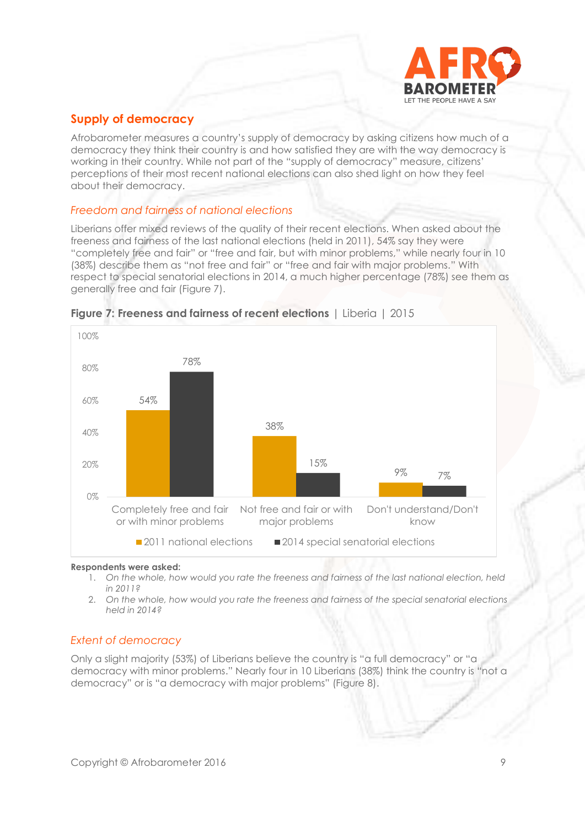

# **Supply of democracy**

Afrobarometer measures a country's supply of democracy by asking citizens how much of a democracy they think their country is and how satisfied they are with the way democracy is working in their country. While not part of the "supply of democracy" measure, citizens' perceptions of their most recent national elections can also shed light on how they feel about their democracy.

#### *Freedom and fairness of national elections*

Liberians offer mixed reviews of the quality of their recent elections. When asked about the freeness and fairness of the last national elections (held in 2011), 54% say they were "completely free and fair" or "free and fair, but with minor problems," while nearly four in 10 (38%) describe them as "not free and fair" or "free and fair with major problems." With respect to special senatorial elections in 2014, a much higher percentage (78%) see them as generally free and fair (Figure 7).





#### **Respondents were asked:**

- 1. *On the whole, how would you rate the freeness and fairness of the last national election, held in 2011?*
- 2. *On the whole, how would you rate the freeness and fairness of the special senatorial elections held in 2014?*

#### *Extent of democracy*

Only a slight majority (53%) of Liberians believe the country is "a full democracy" or "a democracy with minor problems." Nearly four in 10 Liberians (38%) think the country is "not a democracy" or is "a democracy with major problems" (Figure 8).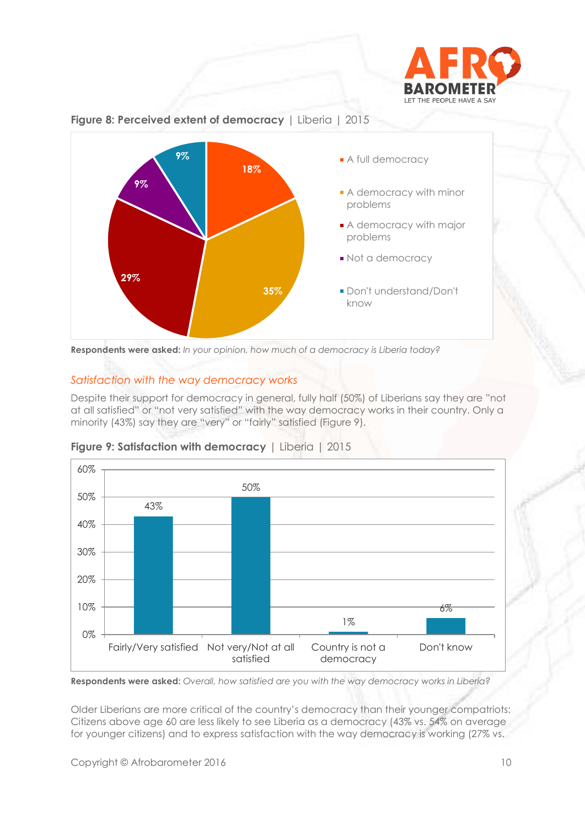





**Respondents were asked:** *In your opinion, how much of a democracy is Liberia today?*

# *Satisfaction with the way democracy works*

Despite their support for democracy in general, fully half (50%) of Liberians say they are "not at all satisfied" or "not very satisfied" with the way democracy works in their country. Only a minority (43%) say they are "very" or "fairly" satisfied (Figure 9).



#### **Figure 9: Satisfaction with democracy | Liberia | 2015**

**Respondents were asked:** *Overall, how satisfied are you with the way democracy works in Liberia?*

Older Liberians are more critical of the country's democracy than their younger compatriots: Citizens above age 60 are less likely to see Liberia as a democracy (43% vs. 54% on average for younger citizens) and to express satisfaction with the way democracy is working (27% vs.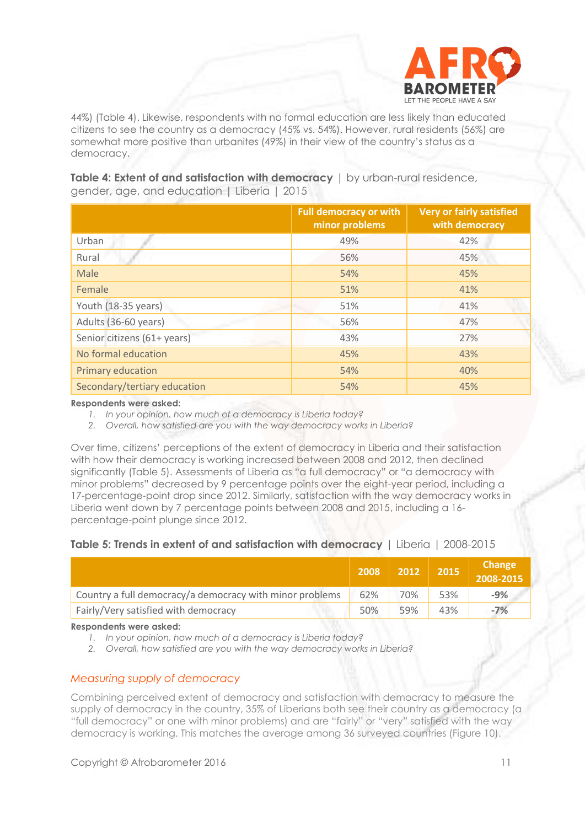

44%) (Table 4). Likewise, respondents with no formal education are less likely than educated citizens to see the country as a democracy (45% vs. 54%). However, rural residents (56%) are somewhat more positive than urbanites (49%) in their view of the country's status as a democracy.

**Table 4: Extent of and satisfaction with democracy** | by urban-rural residence, gender, age, and education | Liberia | 2015

|                              | <b>Full democracy or with</b><br>minor problems | <b>Very or fairly satisfied</b><br>with democracy |
|------------------------------|-------------------------------------------------|---------------------------------------------------|
| Urban                        | 49%                                             | 42%                                               |
| Rural                        | 56%                                             | 45%                                               |
| Male                         | 54%                                             | 45%                                               |
| Female                       | 51%                                             | 41%                                               |
| Youth (18-35 years)          | 51%                                             | 41%                                               |
| Adults (36-60 years)         | 56%                                             | 47%                                               |
| Senior citizens (61+ years)  | 43%                                             | 27%                                               |
| No formal education          | 45%                                             | 43%                                               |
| Primary education            | 54%                                             | 40%                                               |
| Secondary/tertiary education | 54%                                             | 45%                                               |

**Respondents were asked:**

*1. In your opinion, how much of a democracy is Liberia today?*

*2. Overall, how satisfied are you with the way democracy works in Liberia?*

Over time, citizens' perceptions of the extent of democracy in Liberia and their satisfaction with how their democracy is working increased between 2008 and 2012, then declined significantly (Table 5). Assessments of Liberia as "a full democracy" or "a democracy with minor problems" decreased by 9 percentage points over the eight-year period, including a 17-percentage-point drop since 2012. Similarly, satisfaction with the way democracy works in Liberia went down by 7 percentage points between 2008 and 2015, including a 16 percentage-point plunge since 2012.

# **Table 5: Trends in extent of and satisfaction with democracy** | Liberia | 2008-2015

|                                                          | 2008 | 2012 | 2015 | <b>Change</b><br>2008-2015 |
|----------------------------------------------------------|------|------|------|----------------------------|
| Country a full democracy/a democracy with minor problems | 62%  | 70%  | 53%  | $-9%$                      |
| Fairly/Very satisfied with democracy                     | 50%  | 59%  | 43%  | $-7%$                      |

**Respondents were asked:**

*1. In your opinion, how much of a democracy is Liberia today?*

*2. Overall, how satisfied are you with the way democracy works in Liberia?*

# *Measuring supply of democracy*

Combining perceived extent of democracy and satisfaction with democracy to measure the supply of democracy in the country, 35% of Liberians both see their country as a democracy (a "full democracy" or one with minor problems) and are "fairly" or "very" satisfied with the way democracy is working. This matches the average among 36 surveyed countries (Figure 10).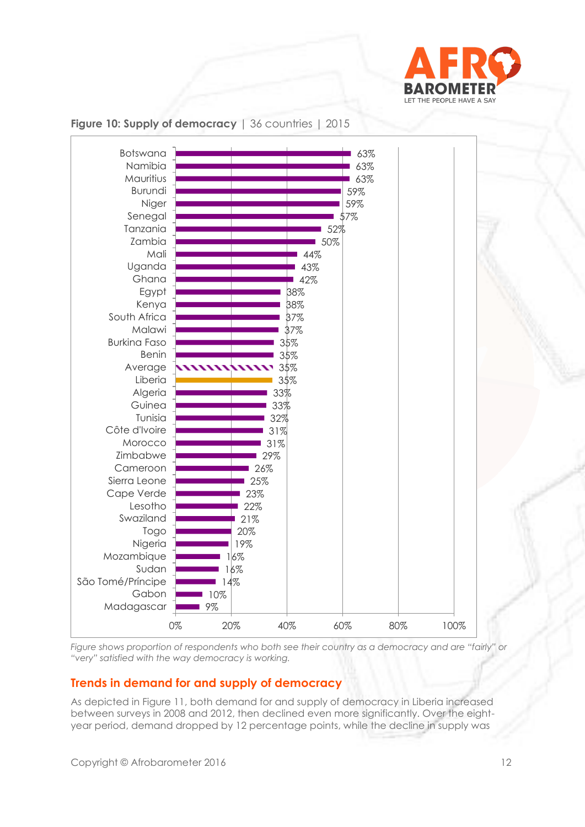



**Figure 10: Supply of democracy** | 36 countries | 2015

*Figure shows proportion of respondents who both see their country as a democracy and are "fairly" or "very" satisfied with the way democracy is working.*

# **Trends in demand for and supply of democracy**

As depicted in Figure 11, both demand for and supply of democracy in Liberia increased between surveys in 2008 and 2012, then declined even more significantly. Over the eightyear period, demand dropped by 12 percentage points, while the decline in supply was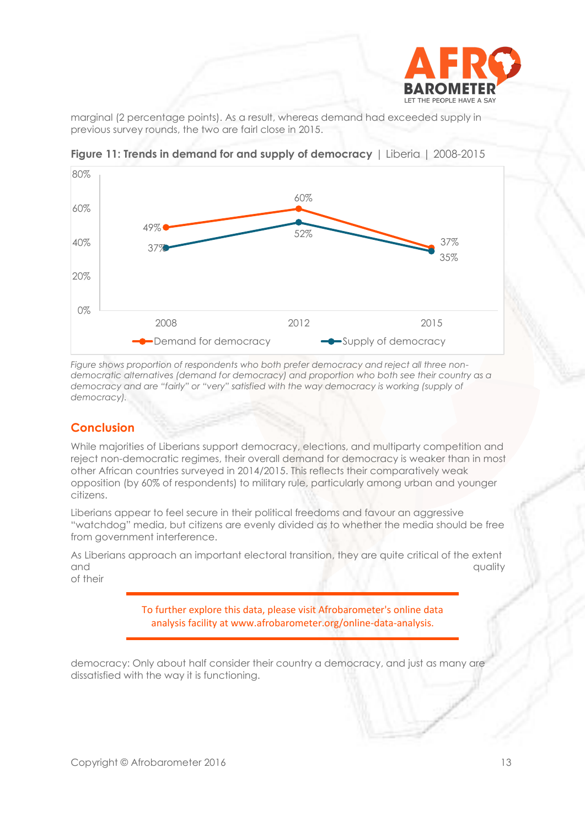

marginal (2 percentage points). As a result, whereas demand had exceeded supply in previous survey rounds, the two are fairl close in 2015.



**Figure 11: Trends in demand for and supply of democracy** | Liberia | 2008-2015

*Figure shows proportion of respondents who both prefer democracy and reject all three nondemocratic alternatives (demand for democracy) and proportion who both see their country as a democracy and are "fairly" or "very" satisfied with the way democracy is working (supply of democracy).*

# **Conclusion**

While majorities of Liberians support democracy, elections, and multiparty competition and reject non-democratic regimes, their overall demand for democracy is weaker than in most other African countries surveyed in 2014/2015. This reflects their comparatively weak opposition (by 60% of respondents) to military rule, particularly among urban and younger citizens.

Liberians appear to feel secure in their political freedoms and favour an aggressive "watchdog" media, but citizens are evenly divided as to whether the media should be free from government interference.

As Liberians approach an important electoral transition, they are quite critical of the extent and and state of the control of the control of the control of the control of the control of the control of the control of the control of the control of the control of the control of the control of the control of the contro of their

> To further explore this data, please visit Afrobarometer's online data analysis facility at www.afrobarometer.org/online-data-analysis.

democracy: Only about half consider their country a democracy, and just as many are dissatisfied with the way it is functioning.